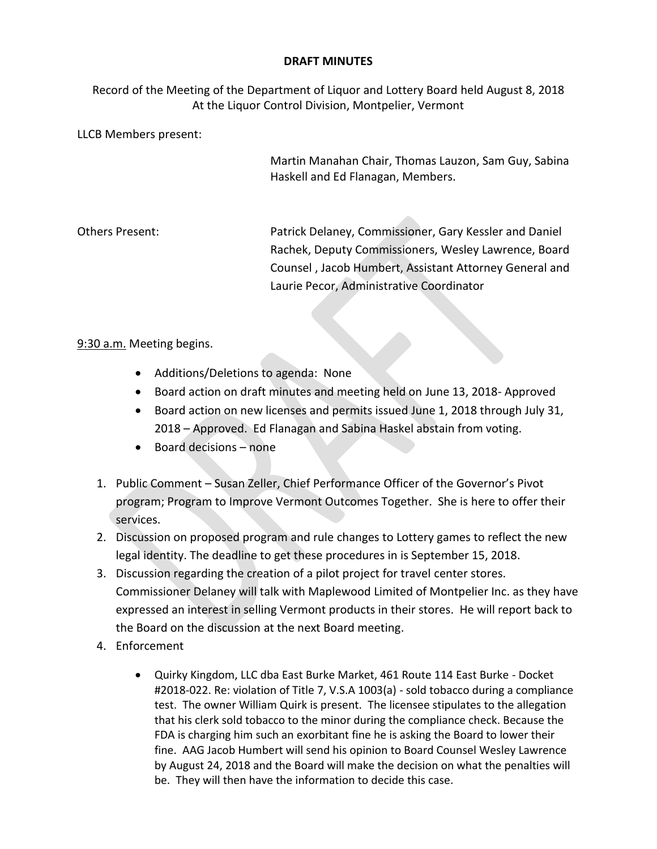## **DRAFT MINUTES**

Record of the Meeting of the Department of Liquor and Lottery Board held August 8, 2018 At the Liquor Control Division, Montpelier, Vermont

LLCB Members present:

Martin Manahan Chair, Thomas Lauzon, Sam Guy, Sabina Haskell and Ed Flanagan, Members.

Others Present: Patrick Delaney, Commissioner, Gary Kessler and Daniel Rachek, Deputy Commissioners, Wesley Lawrence, Board Counsel , Jacob Humbert, Assistant Attorney General and Laurie Pecor, Administrative Coordinator

## 9:30 a.m. Meeting begins.

- Additions/Deletions to agenda: None
- Board action on draft minutes and meeting held on June 13, 2018- Approved
- Board action on new licenses and permits issued June 1, 2018 through July 31, 2018 – Approved. Ed Flanagan and Sabina Haskel abstain from voting.
- Board decisions none
- 1. Public Comment Susan Zeller, Chief Performance Officer of the Governor's Pivot program; Program to Improve Vermont Outcomes Together. She is here to offer their services.
- 2. Discussion on proposed program and rule changes to Lottery games to reflect the new legal identity. The deadline to get these procedures in is September 15, 2018.
- 3. Discussion regarding the creation of a pilot project for travel center stores. Commissioner Delaney will talk with Maplewood Limited of Montpelier Inc. as they have expressed an interest in selling Vermont products in their stores. He will report back to the Board on the discussion at the next Board meeting.
- 4. Enforcement
	- Quirky Kingdom, LLC dba East Burke Market, 461 Route 114 East Burke Docket #2018-022. Re: violation of Title 7, V.S.A 1003(a) - sold tobacco during a compliance test. The owner William Quirk is present. The licensee stipulates to the allegation that his clerk sold tobacco to the minor during the compliance check. Because the FDA is charging him such an exorbitant fine he is asking the Board to lower their fine. AAG Jacob Humbert will send his opinion to Board Counsel Wesley Lawrence by August 24, 2018 and the Board will make the decision on what the penalties will be. They will then have the information to decide this case.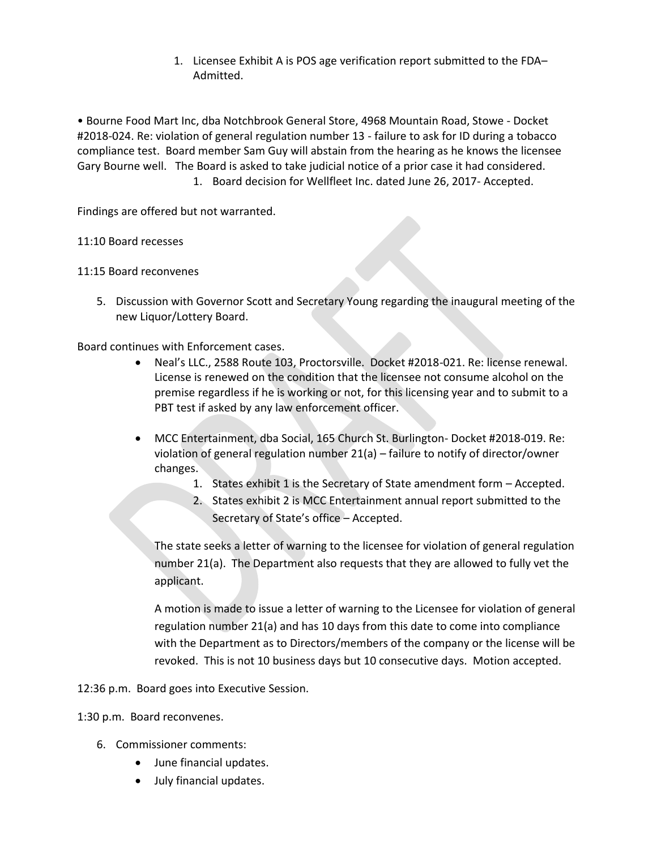1. Licensee Exhibit A is POS age verification report submitted to the FDA– Admitted.

• Bourne Food Mart Inc, dba Notchbrook General Store, 4968 Mountain Road, Stowe - Docket #2018-024. Re: violation of general regulation number 13 - failure to ask for ID during a tobacco compliance test. Board member Sam Guy will abstain from the hearing as he knows the licensee Gary Bourne well. The Board is asked to take judicial notice of a prior case it had considered. 1. Board decision for Wellfleet Inc. dated June 26, 2017- Accepted.

Findings are offered but not warranted.

## 11:10 Board recesses

## 11:15 Board reconvenes

5. Discussion with Governor Scott and Secretary Young regarding the inaugural meeting of the new Liquor/Lottery Board.

Board continues with Enforcement cases.

- Neal's LLC., 2588 Route 103, Proctorsville. Docket #2018-021. Re: license renewal. License is renewed on the condition that the licensee not consume alcohol on the premise regardless if he is working or not, for this licensing year and to submit to a PBT test if asked by any law enforcement officer.
- MCC Entertainment, dba Social, 165 Church St. Burlington- Docket #2018-019. Re: violation of general regulation number 21(a) – failure to notify of director/owner changes.
	- 1. States exhibit 1 is the Secretary of State amendment form Accepted.
	- 2. States exhibit 2 is MCC Entertainment annual report submitted to the Secretary of State's office – Accepted.

The state seeks a letter of warning to the licensee for violation of general regulation number 21(a). The Department also requests that they are allowed to fully vet the applicant.

A motion is made to issue a letter of warning to the Licensee for violation of general regulation number 21(a) and has 10 days from this date to come into compliance with the Department as to Directors/members of the company or the license will be revoked. This is not 10 business days but 10 consecutive days. Motion accepted.

12:36 p.m. Board goes into Executive Session.

1:30 p.m. Board reconvenes.

- 6. Commissioner comments:
	- June financial updates.
	- July financial updates.